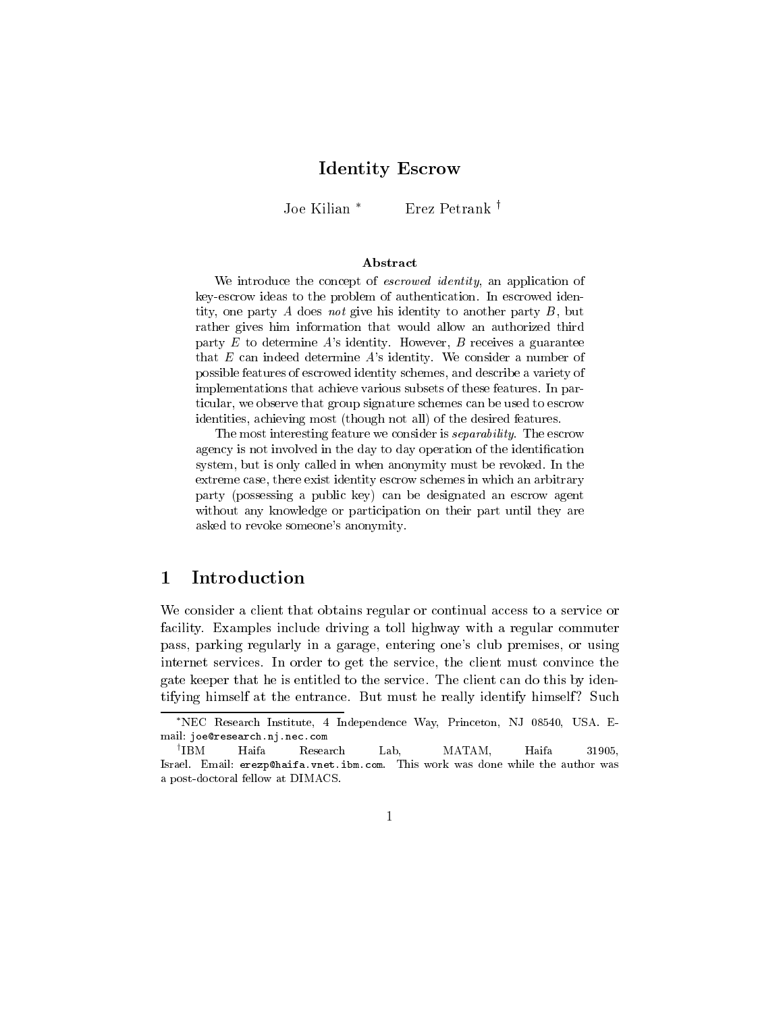# Identity Escrow

Joe Kilian \* Erez Petrank †

### Abstract

We introduce the concept of *escrowed identity*, an application of keyescrow ideas to the problem of authentication- In escrowed iden tity, one party A does not give his identity to another party  $B$ , but rather gives him information that would allow an authorized third party E to determine  $A$ 's identity. However, B receives a guarantee that  $E$  can indeed determine  $A$ 's identity. We consider a number of possible features of escrowed identity schemes, and describe a variety of implementations that achieve various subsets of these features- In par ticular, we observe that group signature schemes can be used to escrow identities, achieving most (though not all) of the desired features.

The most interesting feature we consider interesting feature we consider is separable in  $\boldsymbol{H}$ agency is not involved in the day to day operation of the identification system but is only called in when anonymity must be revoked- In the extreme case, there exist identity escrow schemes in which an arbitrary party (possessing a public key) can be designated an escrow agent without any knowledge or participation on their part until they are asked to revoke someone's anonymity.

# Introduction

We consider a client that obtains regular or continual access to a service or facility. Examples include driving a toll highway with a regular commuter pass parking regularly in a garage entering one-s club premises or using internet services In order to get the service the client must convince the gate keeper that he is entitled to the service The client can do this by iden tifying himself at the entrance. But must he really identify himself? Such

 $\overline{1}$ 

<sup>-</sup> INEC Research Institute, 4 Independence Way, Princeton, NJ 08540, OSA. Email: joe@research.nj.nec.com

 $^{\dagger}$ IBM Haifa Research Lab. MATAM. Haifa 31905. IBM Haifa Research Lab Matamata Research Lab Matamata Research Lab Matamata Research Lab Matamata Research Lab  $\sim$  1  $\sim$  1  $\sim$ Israel. Email: erezp@haifa.vnet.ibm.com. This work was done while the author was a post-doctoral fellow at DIMACS.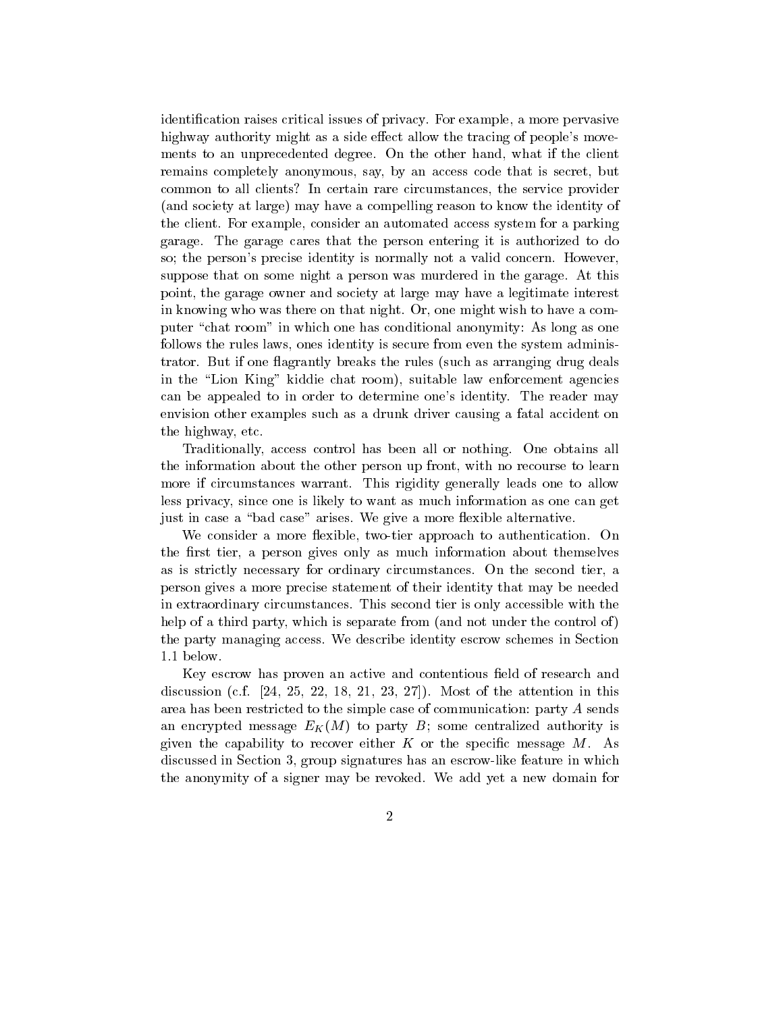identification raises critical issues of privacy. For example, a more pervasive highway authority might as a side eect allow the tracing of people-s move ments to an unprecedented degree. On the other hand, what if the client remains completely anonymous, say, by an access code that is secret, but common to all clients? In certain rare circumstances, the service provider (and society at large) may have a compelling reason to know the identity of the client. For example, consider an automated access system for a parking garage The garage cares that the person entering it is authorized to do so the person-s precise identity is normally not a valid concern However suppose that on some night a person was murdered in the garage At this point the garage owner and society at large may have a legitimate interest in knowing who was there on that night. Or, one might wish to have a computer "chat room" in which one has conditional anonymity: As long as one follows the rules laws, ones identity is secure from even the system administrator. But if one flagrantly breaks the rules (such as arranging drug deals in the "Lion King" kiddie chat room), suitable law enforcement agencies can be appealed to in order to determine one-s identity The reader may envision other examples such as a drunk driver causing a fatal accident on the highway, etc.

Traditionally, access control has been all or nothing. One obtains all the information about the other person up front, with no recourse to learn more if circumstances warrant. This rigidity generally leads one to allow less privacy, since one is likely to want as much information as one can get just in case a "bad case" arises. We give a more flexible alternative.

We consider a more flexible, two-tier approach to authentication. On the first tier, a person gives only as much information about themselves as is strictly necessary for ordinary circumstances. On the second tier, a person gives a more precise statement of their identity that may be needed in extraordinary circumstances This second tier is only accessible with the help of a third party, which is separate from (and not under the control of) the party managing access We describe identity escrow schemes in Section 1.1 below.

Key escrow has proven an active and contentious field of research and discussion (c.f.  $[24, 25, 22, 18, 21, 23, 27]$ ). Most of the attention in this area has been restricted to the simple case of communication: party  $A$  sends an encrypted message EKM to party B some centralized authority is given the capability to recover either  $K$  or the specific message  $M$ . As discussed in Section 3, group signatures has an escrow-like feature in which the anonymity of a signer may be revoked. We add yet a new domain for

 $\overline{2}$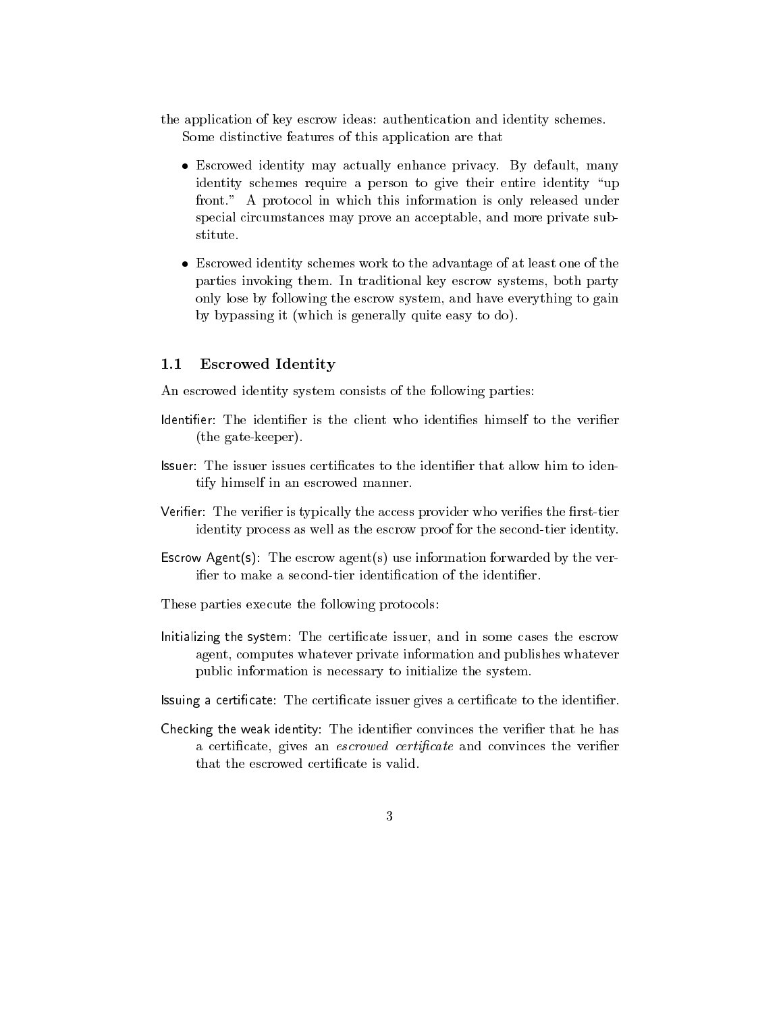the application of key escrow ideas authentication and identity schemes Some distinctive features of this application are that

- $\bullet$  Escrowed identity may actually enhance privacy. By default, many identity schemes require a person to give their entire identity up front." A protocol in which this information is only released under special circumstances may prove an acceptable, and more private substitute
- $\bullet$  -Escrowed identity schemes work to the advantage of at least one of the  $\bullet$ parties invoking them. In traditional key escrow systems, both party only lose by following the escrow system, and have everything to gain by bypassing it (which is generally quite easy to do).

## 1.1 Escrowed Identity

An escrowed identity system consists of the following parties:

- Identifier: The identifier is the client who identifies himself to the verifier (the gate-keeper).
- Issuer: The issuer issues certificates to the identifier that allow him to identify himself in an escrowed manner
- Verifier: The verifier is typically the access provider who verifies the first-tier identity process as well as the escrow proof for the second-tier identity.
- escribiting the estimate  $\mathcal{L}_{\mathbf{A}}$  and  $\mathcal{L}_{\mathbf{A}}$  into the vertice of  $\mathcal{L}_{\mathbf{A}}$  and  $\mathcal{L}_{\mathbf{A}}$ ifier to make a second-tier identification of the identifier.
- These parties execute the following protocols
- Initializing the system. The certificate issuer, and in some cases the escrow agent, computes whatever private information and publishes whatever public information is necessary to initialize the system
- Issuing a certificate: The certificate issuer gives a certificate to the identifier.
- Checking the weak identity: The identifier convinces the verifier that he has a certificate, gives an *escrowed certificate* and convinces the verifier that the escrowed certificate is valid.
	- 3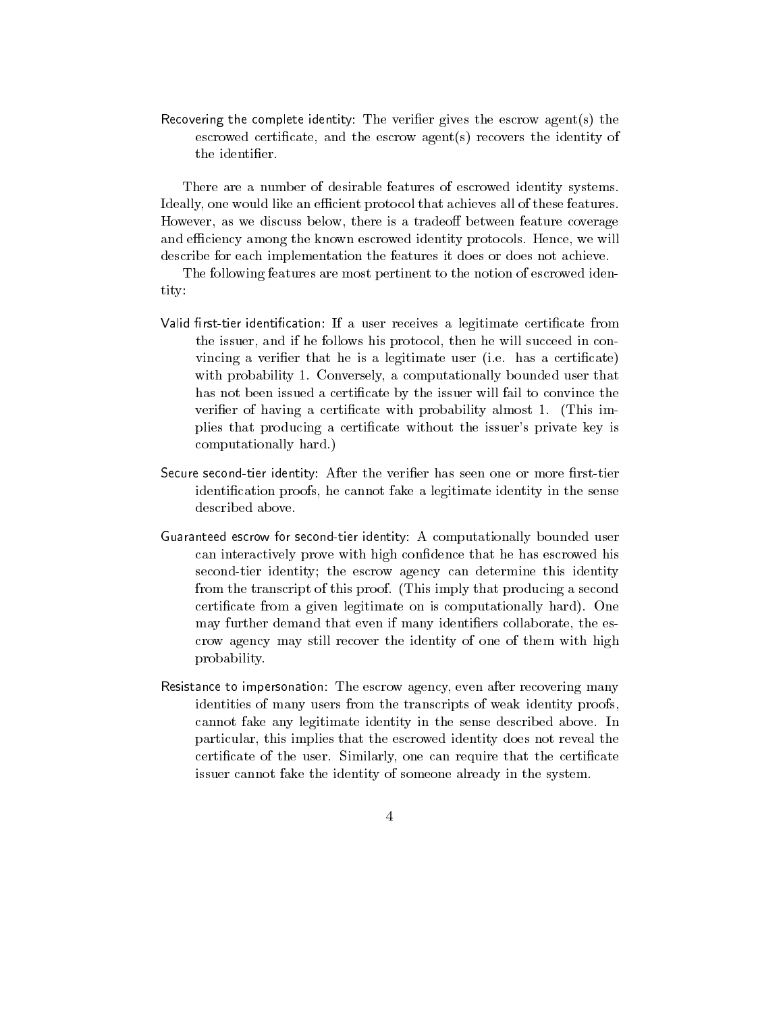Recovering the complete identity: The verifier gives the escrow agent(s) the escrowed certificate, and the escrow agent(s) recovers the identity of the identifier.

There are a number of desirable features of escrowed identity systems Ideally, one would like an efficient protocol that achieves all of these features. However, as we discuss below, there is a tradeoff between feature coverage and efficiency among the known escrowed identity protocols. Hence, we will describe for each implementation the features it does or does not achieve

The following features are most pertinent to the notion of escrowed iden tity:

- Valid first-tier identification: If a user receives a legitimate certificate from the issuer, and if he follows his protocol, then he will succeed in convincing a verifier that he is a legitimate user (i.e. has a certificate) with probability 1. Conversely, a computationally bounded user that has not been issued a certificate by the issuer will fail to convince the verifier of having a certificate with probability almost 1. (This implies that producing a certicate without the issuer-s private key is computationally hard
- Secure second-tier identity: After the verifier has seen one or more first-tier identification proofs, he cannot fake a legitimate identity in the sense described above.
- Guaranteed escrow for second-tier identity:  $A$  computationally bounded user can interactively prove with high confidence that he has escrowed his secondtier is the escript identity in the escape of the second can determine the escape of the contract of the from the transcript of this proof. (This imply that producing a second certificate from a given legitimate on is computationally hard). One may further demand that even if many identifiers collaborate, the escrow agency may still recover the identity of one of them with high probability
- Resistance to impersonation: The escrow agency, even after recovering many identities of many users from the transcripts of weak identity proofs cannot fake any legitimate identity in the sense described above In particular, this implies that the escrowed identity does not reveal the certificate of the user. Similarly, one can require that the certificate issuer cannot fake the identity of someone already in the system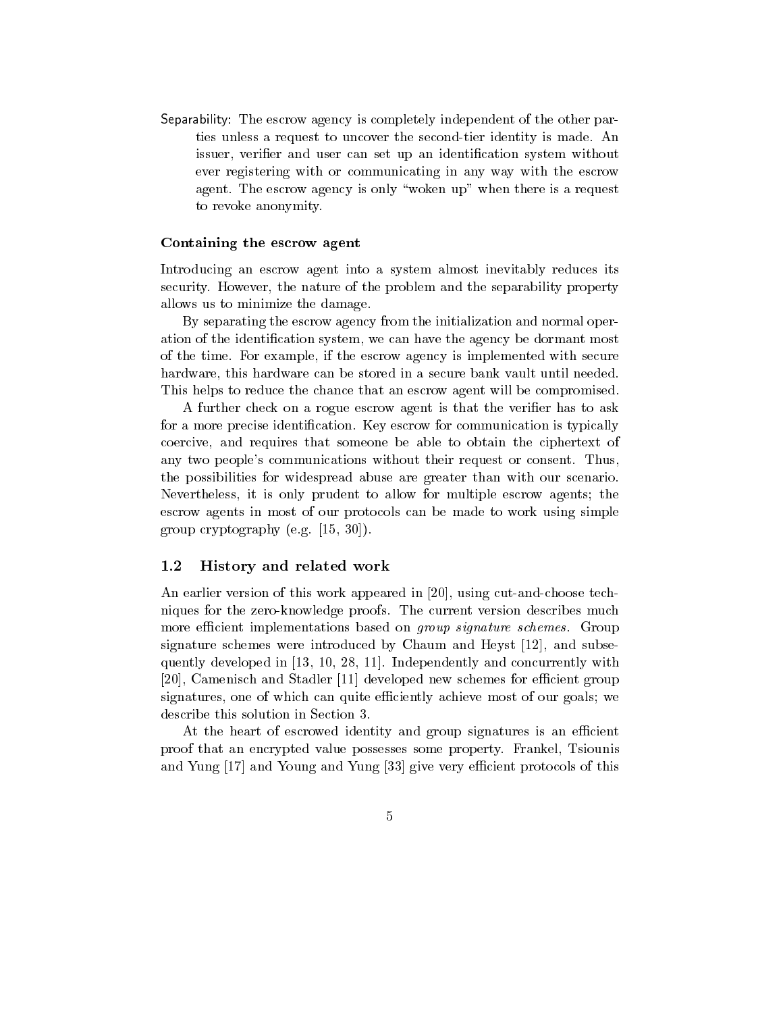Separability: The escrow agency is completely independent of the other parties unless a request to uncover the second-tier identity is made. An issuer, verifier and user can set up an identification system without ever registering with or communicating in any way with the escrow agent. The escrow agency is only "woken up" when there is a request to revoke anonymity

### Containing the escrow agent

Introducing an escrow agent into a system almost inevitably reduces its security. However, the nature of the problem and the separability property allows us to minimize the damage

By separating the escrow agency from the initialization and normal oper ation of the identification system, we can have the agency be dormant most of the time For example if the escrow agency is implemented with secure hardware, this hardware can be stored in a secure bank vault until needed. This helps to reduce the chance that an escrow agent will be compromised

A further check on a rogue escrow agent is that the verifier has to ask for a more precise identification. Key escrow for communication is typically coercive, and requires that someone be able to obtain the ciphertext of any two people-s communications without their request or consent Thus the possibilities for widespread abuse are greater than with our scenario Nevertheless it is only prudent to allow for multiple escrow agents the escrow agents in most of our protocols can be made to work using simple group cryptography (e.g.  $[15, 30]$ ).

#### 1.2 History and related work

An earlier version of this work appeared in  $[20]$ , using cut-and-choose techniques for the zero-knowledge proofs. The current version describes much more efficient implementations based on *group signature schemes*. Group signature schemes were introduced by Chaum and Heyst  $[12]$ , and subsequently developed in [13, 10, 28, 11]. Independently and concurrently with  $[20]$ , Camenisch and Stadler  $[11]$  developed new schemes for efficient group signatures one of which can quite eciently achieve most of our goals we describe this solution in Section

At the heart of escrowed identity and group signatures is an efficient proof that an encrypted value possesses some property Frankel Tsiounis and Yung [17] and Young and Yung [33] give very efficient protocols of this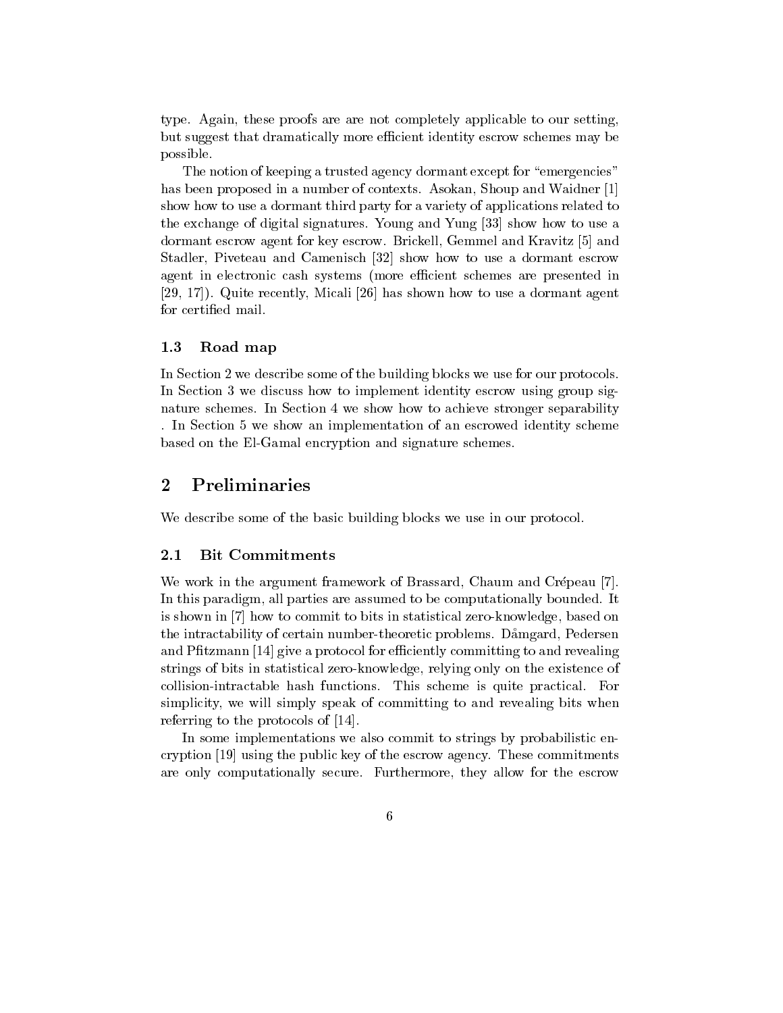type. Again, these proofs are are not completely applicable to our setting. but suggest that dramatically more efficient identity escrow schemes may be possible

The notion of keeping a trusted agency dormant except for "emergencies" has been proposed in a number of contexts. Asokan, Shoup and Waidner [1] show how to use a dormant third party for a variety of applications related to the exchange of digital signatures. Young and Yung [33] show how to use a dormant escrow agent for key escrow. Brickell, Gemmel and Kravitz [5] and Stadler, Piveteau and Camenisch [32] show how to use a dormant escrow agent in electronic cash systems (more efficient schemes are presented in  $[29, 17]$ . Quite recently, Micali  $[26]$  has shown how to use a dormant agent for certified mail.

## 1.3 Road map

In Section 2 we describe some of the building blocks we use for our protocols. In Section 3 we discuss how to implement identity escrow using group signature schemes. In Section 4 we show how to achieve stronger separability In Section 5 we show an implementation of an escrowed identity scheme based on the El-Gamal encryption and signature schemes.

# 2 Preliminaries

We describe some of the basic building blocks we use in our protocol.

### $2.1$ Bit Commitments

We work in the argument framework of Brassard, Chaum and Crépeau  $[7]$ . In this paradigm, all parties are assumed to be computationally bounded. It is shown in  $[7]$  how to commit to bits in statistical zero-knowledge, based on the intractability of certain number-theoretic problems. Dåmgard, Pedersen and Pfitzmann  $[14]$  give a protocol for efficiently committing to and revealing strings of bits in statistical zero-knowledge, relying only on the existence of collision-intractable hash functions. This scheme is quite practical. For simplicity, we will simply speak of committing to and revealing bits when referring to the protocols of [14].

In some implementations we also commit to strings by probabilistic en cryption  $[19]$  using the public key of the escrow agency. These commitments are only computationally secure. Furthermore, they allow for the escrow

 $\overline{6}$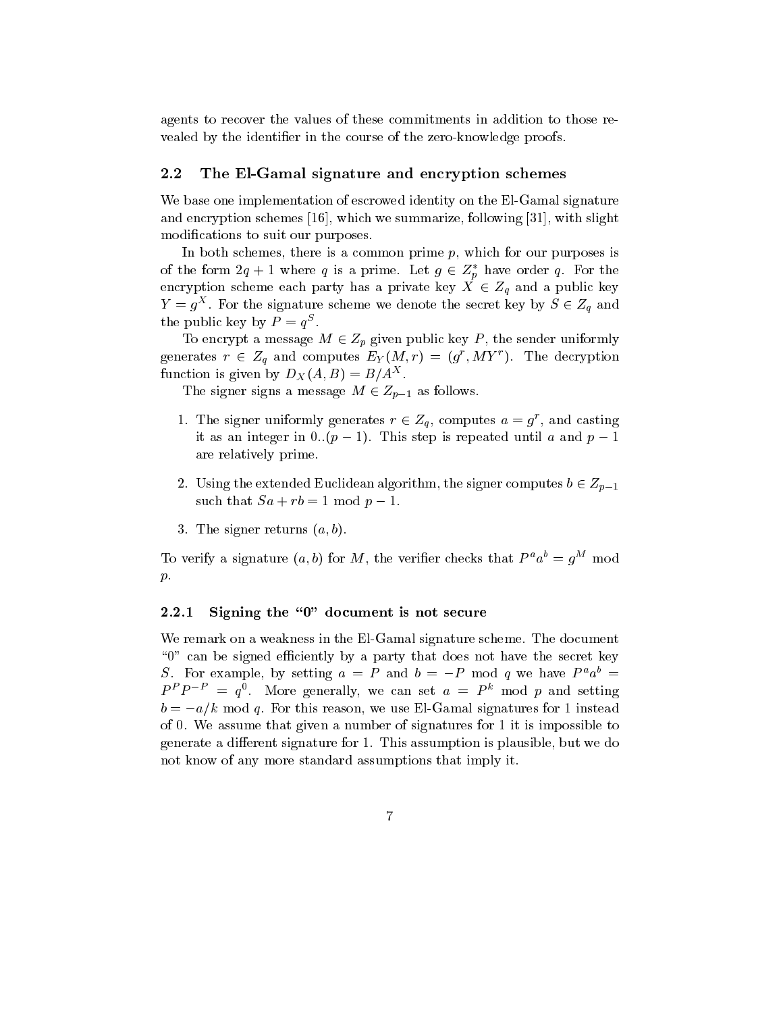agents to recover the values of these commitments in addition to those re vealed by the identifier in the course of the zero-knowledge proofs.

### The El-Gamal signature and encryption schemes

We base one implementation of escrowed identity on the El-Gamal signature and encryption schemes  $[16]$ , which we summarize, following  $[31]$ , with slight modifications to suit our purposes.

In both schemes, there is a common prime  $p$ , which for our purposes is of the form  $2q + 1$  where q is a prime. Let  $g \in Z_p^*$  have order q. For the encryption scheme each party has a private key  $\overrightarrow{X} \in Z_q$  and a public key  $Y = g^{\Lambda}$ . For the signature scheme we denote the secret key by  $S \in \mathbb{Z}_q$  and the public key by  $P = q<sup>2</sup>$ .

To encrypt a message  $M \in Z_p$  given public key P, the sender uniformly generates  $r \in Z_q$  and computes  $E_Y(M,r) = (g', MY')$ . The decryption function is given by  $D_X(A, B) = B/A$ .

The signer signs a message  $M \in Z_{p-1}$  as follows.

- 1. The signer uniformly generates  $r \in Z_q$ , computes  $a = g'$ , and casting it as an integer in  $0.1$ ,  $p = 1$ ). This step is repeated until a and  $p = 1$ are relatively prime
- 2. Using the extended Euclidean algorithm, the signer computes  $b \in Z_{p-1}$ such that  $\beta a + b = 1$  mod  $p - 1$ .
- 3. The signer returns  $(a, b)$ .

To verify a signature  $(a, b)$  for M, the verifier checks that  $P^a a^b = g^M$  mod  $p$ .

#### $2.2.1$ Signing the "0" document is not secure

We remark on a weakness in the El-Gamal signature scheme. The document " $0$ " can be signed efficiently by a party that does not have the secret key S. For example, by setting  $a \equiv P$  and  $b \equiv -P$  mod q we have  $P^{\#}a^{\#} \equiv$  $P^+P^- = q^*$ , where generally, we can set  $a = P^*$  mod p and setting  $\sigma = -a/\kappa$  mod  $q$ . For this reason, we use El-Gamal signatures for T instead of 0. We assume that given a number of signatures for 1 it is impossible to generate a different signature for 1. This assumption is plausible, but we do not know of any more standard assumptions that imply it

 $\overline{7}$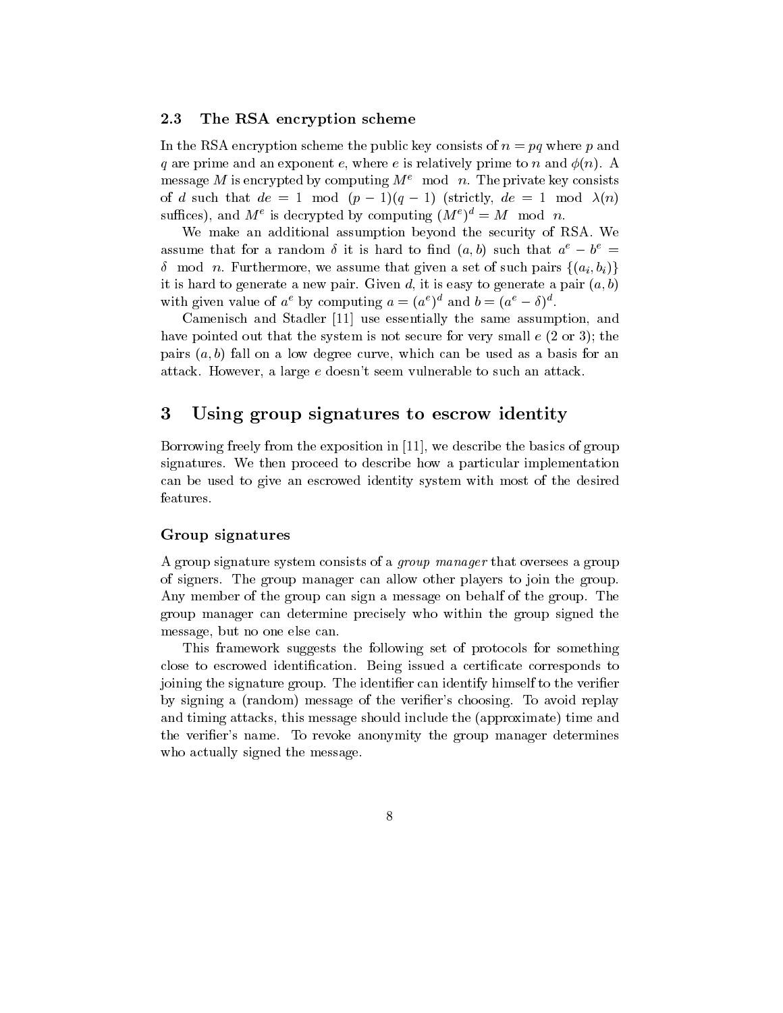#### $2.3\,$ The RSA encryption scheme

In the RSA encryption scheme the public key consists of  $n = pq$  where p and q are prime and an exponent e, where e is relatively prime to n and  $\phi(n)$ . A message M is encrypted by computing  $M^e$  mod n. The private key consists of a such that  $ae = 1$  filled  $(p - 1)(q - 1)$  (strictly,  $ae = 1$  filled  $A(n)$ ) sumces), and M is decrypted by computing  $(M<sup>2</sup>)<sup>2</sup> = M$  mod n.

We make an additional assumption beyond the security of RSA. We assume that for a random  $v$  it is hard to ning  $(a, v)$  such that  $a^* = v^* =$  $\delta$  mod *n*. Furthermore, we assume that given a set of such pairs  $\{(a_i, b_i)\}\$ it is hard to generate a new pair. Given d, it is easy to generate a pair  $(a, b)$ with given value of a by computing  $a = (a^2)^2$  and  $b = (a^2 - b)^2$ .

Camenisch and Stadler  $[11]$  use essentially the same assumption, and have pointed out that the system is not secure for secure  $\mathcal{L}$  the second  $\mathcal{L}$ pairs  $(a, b)$  fall on a low degree curve, which can be used as a basis for an attack However and the seed of the such a large to such an attack to such an attack to such an attack to such a

### $\bf{3}$ Using group signatures to escrow identity

Borrowing freely from the exposition in  $[11]$ , we describe the basics of group signatures. We then proceed to describe how a particular implementation can be used to give an escrowed identity system with most of the desired features

## Group signatures

A group signature system consists of a group manager that oversees a group of signers The group manager can allow other players to join the group Any member of the group can sign a message on behalf of the group. The group manager can determine precisely who within the group signed the message, but no one else can.

This framework suggests the following set of protocols for something close to escrowed identification. Being issued a certificate corresponds to joining the signature group. The identifier can identify himself to the verifier  $\alpha$  randomly a randomly message of the verifies of the verifies  $\alpha$  avoid replay  $\alpha$ and timing attacks, this message should include the (approximate) time and the verier-s name To revoke anonymity the group manager determines who actually signed the message.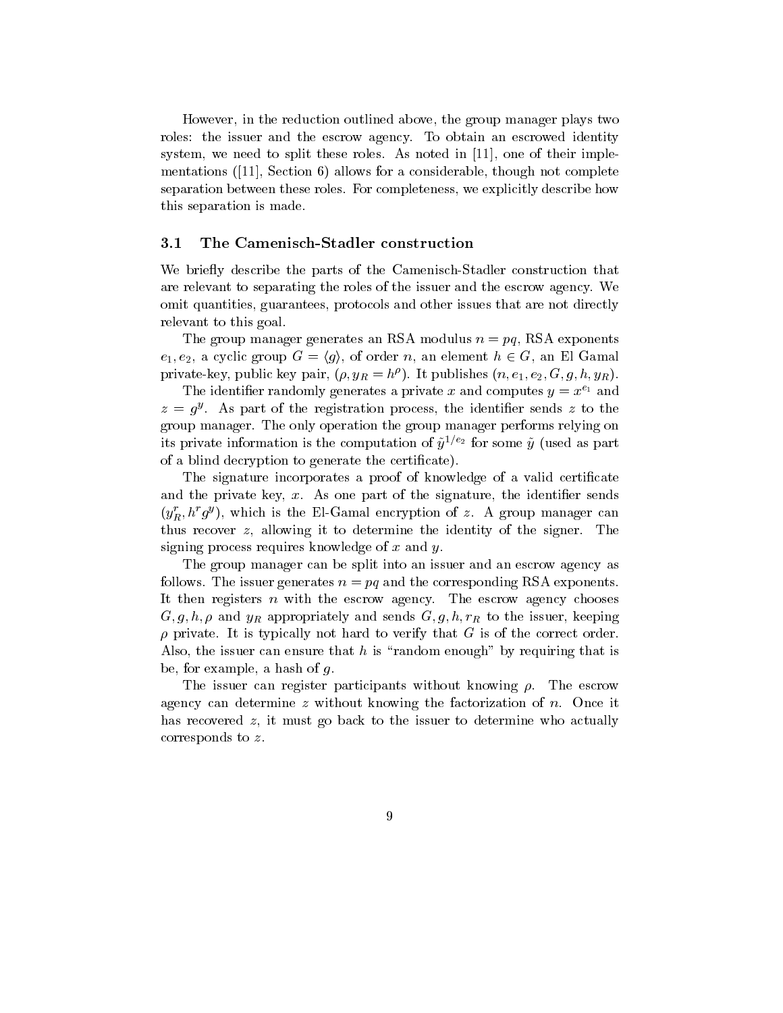However, in the reduction outlined above, the group manager plays two roles the issuer and the escrow agency To obtain an escrowed identity system, we need to split these roles. As noted in  $[11]$ , one of their implementations  $([11], \text{ Section 6})$  allows for a considerable, though not complete separation between these roles. For completeness, we explicitly describe how this separation is made

#### $3.1$ The Camenisch-Stadler construction

We briefly describe the parts of the Camenisch-Stadler construction that are relevant to separating the roles of the issuer and the escrow agency We omit quantities guarantees protocols and other issues that are not directly relevant to this goal

The group manager generates an RSA modulus  $n = pq$ , RSA exponents  $e_1, e_2,$  a cyclic group  $G = \langle g \rangle$ , of order n, an element  $h \in G$ , an El Gamal private-key, public key pair,  $(\rho, y_R = n^r)$ . It publishes  $(n, e_1, e_2, G, g, n, y_R)$ .

The identifier randomly generates a private x and computes  $y = x^{e_1}$  and  $z = q<sup>o</sup>$ . As part of the registration process, the identifier sends z to the group manager. The only operation the group manager performs relying on its private information is the computation of  $y\neq z$  for some  $y$  (used as part of a blind decryption to generate the certificate).

The signature incorporates a proof of knowledge of a valid certificate and the private key,  $x$ . As one part of the signature, the identifier sends  $(y_R, n, g)$ , which is the El-Gamal encryption of z. A group manager can thus recover  $z$ , allowing it to determine the identity of the signer. The signing process requires knowledge of  $x$  and  $y$ .

The group manager can be split into an issuer and an escrow agency as follows. The issuer generates  $n = pq$  and the corresponding RSA exponents. It then registers  $n$  with the escrow agency. The escrow agency chooses  $G, g, h, \rho$  and  $y_R$  appropriately and sends  $G, g, h, r_R$  to the issuer, keeping  $\rho$  private. It is typically not hard to verify that G is of the correct order. Also, the issuer can ensure that h is "random enough" by requiring that is be, for example, a hash of  $q$ .

The issuer can register participants without knowing  $\rho$ . The escrow agency can determine  $z$  without knowing the factorization of  $n$ . Once it has recovered  $z$ , it must go back to the issuer to determine who actually corresponds to z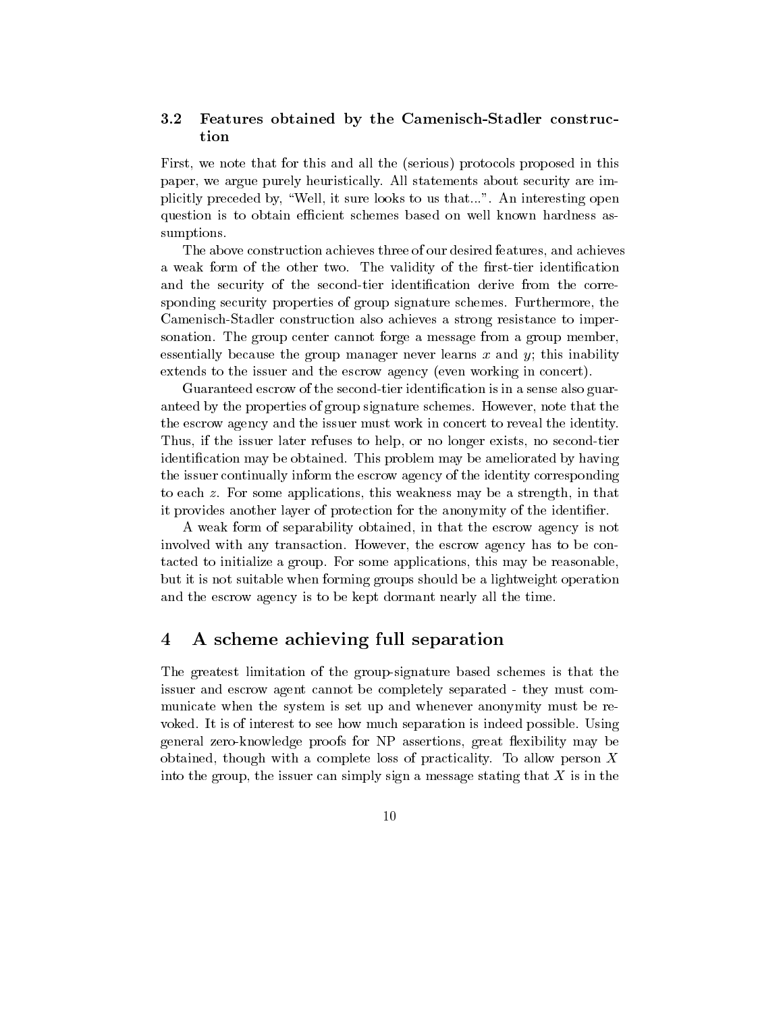## $3.2$ Features obtained by the Camenisch-Stadler construc-

First, we note that for this and all the (serious) protocols proposed in this paper we argue purely heuristically All statements about security are im plicitly preceded by "Well, it sure looks to us that...". An interesting open question is to obtain efficient schemes based on well known hardness assumptions

The above construction achieves three of our desired features, and achieves a weak form of the other two. The validity of the first-tier identification and the security of the second-tier identification derive from the corresponding security properties of group signature schemes. Furthermore, the Camenisch-Stadler construction also achieves a strong resistance to impersonation. The group center cannot forge a message from a group member, essentially because the group manager never learns x and y this inability extends to the issuer and the escrow agency (even working in concert).

Guaranteed escrow of the second-tier identification is in a sense also guaranteed by the properties of group signature schemes. However, note that the the escrow agency and the issuer must work in concert to reveal the identity Thus, if the issuer later refuses to help, or no longer exists, no second-tier identification may be obtained. This problem may be ameliorated by having the issuer continually inform the escrow agency of the identity corresponding to each  $z$ . For some applications, this weakness may be a strength, in that it provides another layer of protection for the anonymity of the identifier.

A weak form of separability obtained, in that the escrow agency is not involved with any transaction. However, the escrow agency has to be contacted to initialize a group. For some applications, this may be reasonable, but it is not suitable when forming groups should be a lightweight operation and the escrow agency is to be kept dormant nearly all the time

# A scheme achieving full separation

The greatest limitation of the groupsignature based schemes is that the issuer and escrow agent cannot be completely separated they must com municate when the system is set up and whenever anonymity must be re voked. It is of interest to see how much separation is indeed possible. Using general zero-knowledge proofs for NP assertions, great flexibility may be obtained, though with a complete loss of practicality. To allow person  $X$ into the group, the issuer can simply sign a message stating that  $X$  is in the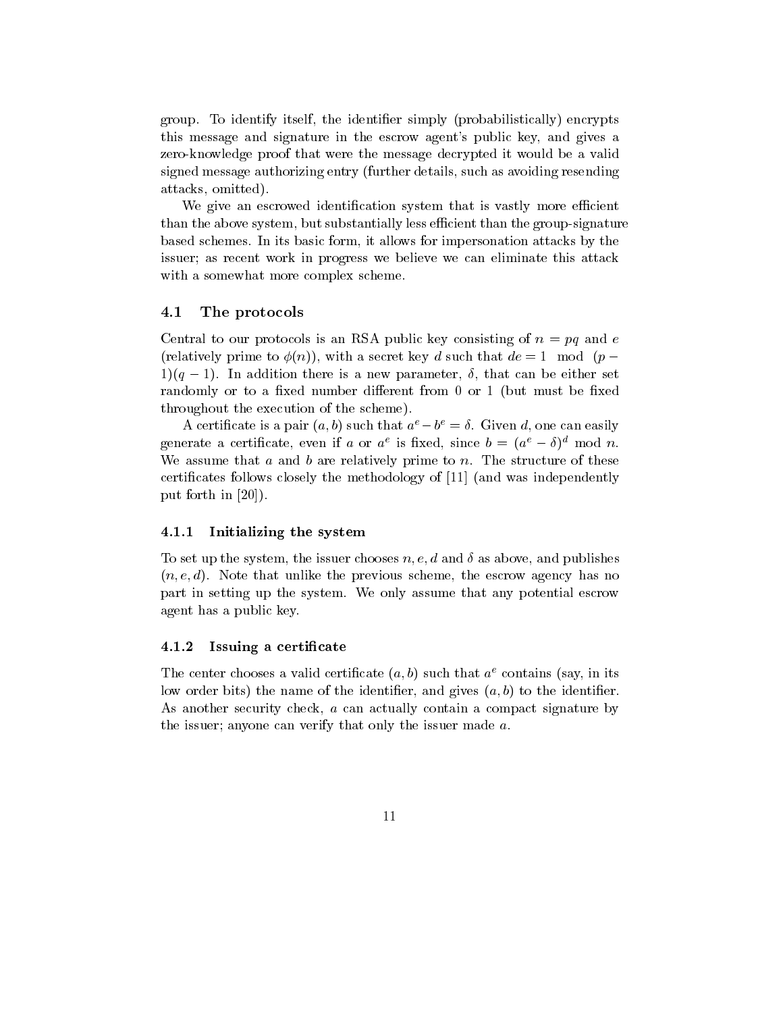group. To identify itself, the identifier simply (probabilistically) encrypts this message and signature in the escrow agent-s public key and gives a zero-knowledge proof that were the message decrypted it would be a valid signed message authorizing entry (further details, such as avoiding resending attacks, omitted).

We give an escrowed identification system that is vastly more efficient than the above system, but substantially less efficient than the group-signature based schemes In its basic form it allows for impersonation attacks by the issuer as recent work in progress we believe we can eliminate this attack with a somewhat more complex scheme.

## 4.1 The protocols

Central to our protocols is an RSA public key consisting of  $n = pq$  and e (relatively prime to  $\phi(n)$ ), with a secret key d such that  $de = 1 \mod (p 1/(q - 1)$ . In addition there is a new parameter,  $\sigma$ , that can be either set randomly or to a fixed number different from 0 or 1 (but must be fixed throughout the execution of the scheme 

A certificate is a pair  $(a, b)$  such that  $a^+ = b^- = b$ . Given  $a$ , one can easily generate a certificate, even if  $a$  or  $a$  is fixed, since  $b = (a - b)$  inod n. We assume that  $a$  and  $b$  are relatively prime to  $n$ . The structure of these certificates follows closely the methodology of  $[11]$  (and was independently put forth in  $[20]$ ).

### Initializing the system

To set up the system, the issuer chooses  $n, e, d$  and  $\delta$  as above, and publishes  $(n, e, d)$ . Note that unlike the previous scheme, the escrow agency has no part in setting up the system We only assume that any potential escrow agent has a public key

### Issuing a certificate

The center chooses a valid certificate  $(a, b)$  such that  $a^e$  contains (say, in its low order bits) the name of the identifier, and gives  $(a, b)$  to the identifier. As another security check, a can actually contain a compact signature by the issuer can verify the issuer made any the issuer made and interest  $\sim$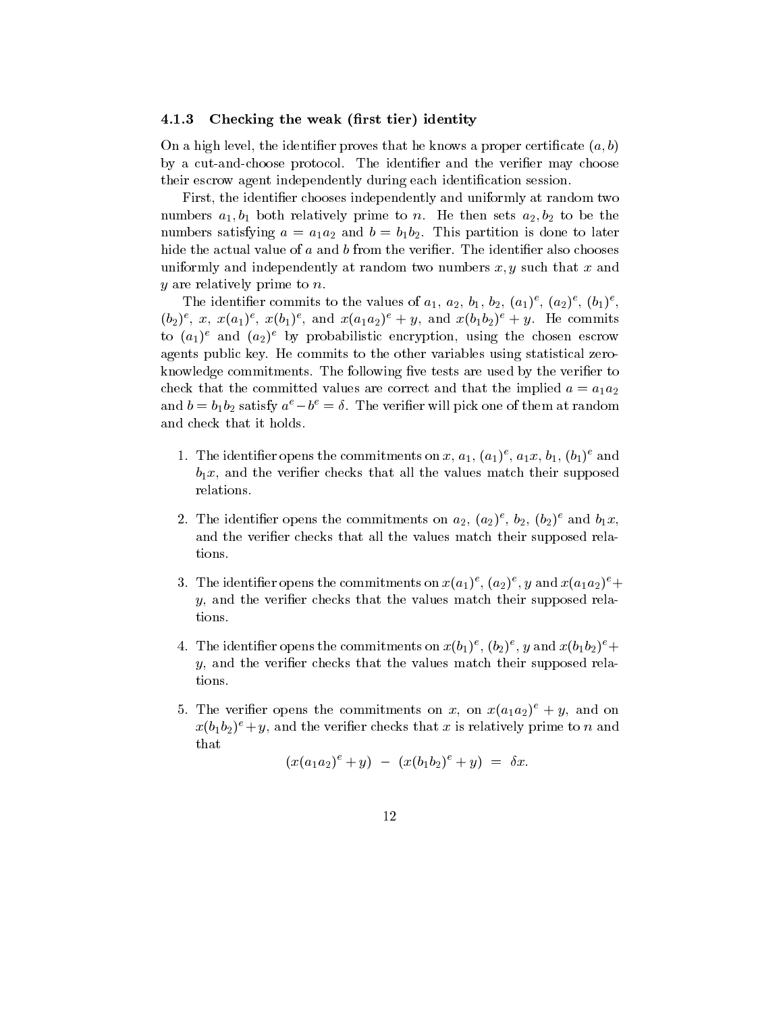### checking the weak  $\overline{1}$  time  $\overline{1}$  the weak  $\overline{1}$  the statistics of  $\overline{1}$

On a high level, the identifier proves that he knows a proper certificate  $(a, b)$ by a cut-and-choose protocol. The identifier and the verifier may choose their escrow agent independently during each identification session.

First, the identifier chooses independently and uniformly at random two numbers and the both relatively prime to the the the theory prime to be the sets and the theory of the theory numbers satisfying a control below a control partition is done to later to later to hide the actual value of  $a$  and  $b$  from the verifier. The identifier also chooses uniformly and independently at random two numbers  $x, y$  such that x and  $y$  are relatively prime to  $n$ .

I he identifier commits to the values of  $a_1, a_2, b_1, b_2, (a_1)^2, (a_2)^2, (b_1)^2,$  $(v_2)^2$ , x,  $x(u_1)^2$ ,  $x(v_1)^2$ , and  $x(u_1u_2)^2 + y$ , and  $x(v_1v_2)^2 + y$ . He commits to  $(a_1)$  and  $(a_2)$  by probabilistic encryption, using the chosen escrow agents public key. He commits to the other variables using statistical zeroknowledge commitments. The following five tests are used by the verifier to check that the committed values are correct and that the implied  $a = a_1 a_2$ and  $b = b_1 b_2$  satisfy  $a^2 - b^2 = b$ . The verifier will pick one of them at random and check that it holds

- 1. The identifier opens the commitments on  $x, a_1, (a_1)^2, a_1x, b_1, (b_1)^2$  and  $b_1x$ , and the verifier checks that all the values match their supposed relations
- 2. The identifier opens the commitments on  $a_2$ ,  $(a_2)$ ;  $b_2$ ,  $(b_2)$ ; and  $b_1x$ , and the verifier checks that all the values match their supposed relations
- 3. The identifier opens the commitments on  $x(a_1)$  ,  $(a_2)$  ,  $y$  and  $x(a_1a_2)$  +  $y$ , and the verifier checks that the values match their supposed relations
- 4. The identifier opens the commitments on  $x(\theta_1)^+$ ,  $(\theta_2)^+$ ,  $y$  and  $x(\theta_1\theta_2)^+$  $y$ , and the verifier checks that the values match their supposed relations
- $\mathfrak{v}.$  The vermer opens the commitments on  $x,$  on  $x(a_1a_2)^+ + y,$  and on  $x_0$  ( $\delta_1$ )  $\delta_2$ ) and the verifier checks that x is relatively prime to n and that

$$
(x(a_1a_2)^e + y) - (x(b_1b_2)^e + y) = \delta x.
$$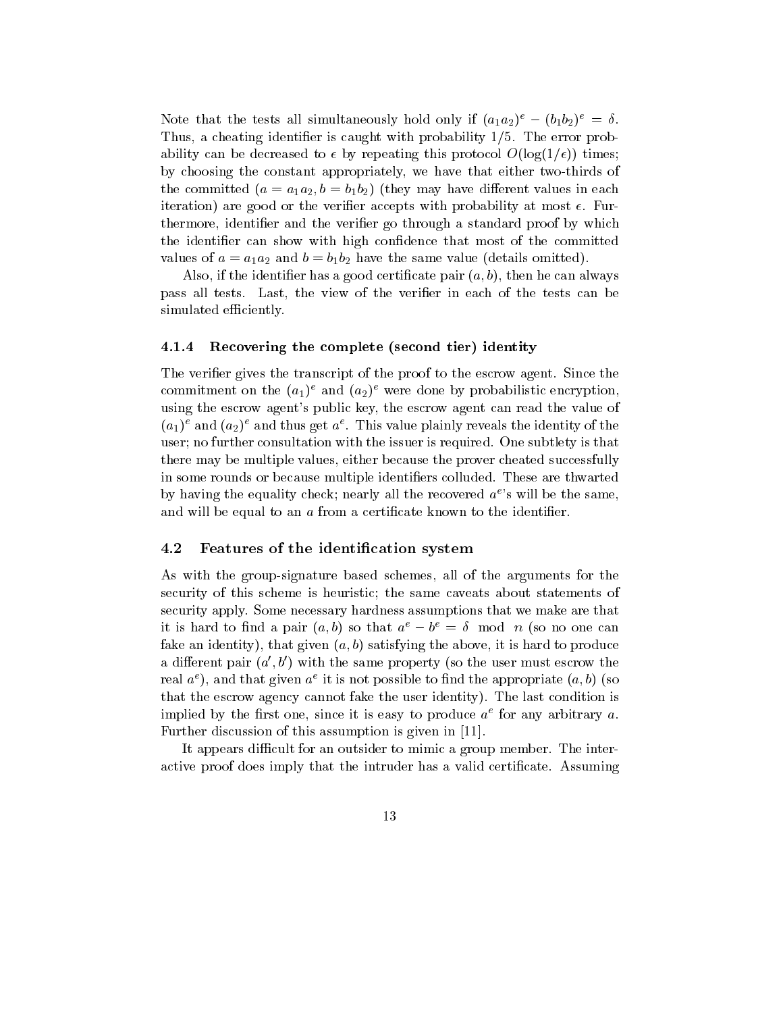Note that the tests an simultaneously hold only if  $(a_1a_2)^{-} = (b_1b_2)^{-} = 0$ . Thus, a cheating identifier is caught with probability  $1/5$ . The error probability can be decreased to  $\epsilon$  by repeating this protocol  $O(\log(1/\epsilon))$  times; by choosing the constant appropriately we have that either twothirds of  $\cdots$  committed a  $\cdots$  and  $\cdots$  and  $\cdots$  as  $\cdots$  and  $\cdots$  are different values in the committee of  $\cdots$ iteration) are good or the verifier accepts with probability at most  $\epsilon$ . Furthermore, identifier and the verifier go through a standard proof by which the identifier can show with high confidence that most of the committed values of a aa- and <sup>b</sup> bb- have the same value details omitted 

Also, if the identifier has a good certificate pair  $(a, b)$ , then he can always pass all tests. Last, the view of the verifier in each of the tests can be simulated efficiently.

### avous the complete issues that the four times of the complete  $\mathcal{S}$

The verifier gives the transcript of the proof to the escrow agent. Since the commitment on the  $(a_1)^2$  and  $(a_2)^2$  were done by probabilistic encryption, using the escrow agent-s public key the escrow agent can read the value of  $\left\{a_1\right\}$  and  $\left\{a_2\right\}$  and thus get  $a$  . This value plainly reveals the identity of the user is no further consultation with the issuer is required One subtlety is required One subtlety is that is t there may be multiple values, either because the prover cheated successfully in some rounds or because multiple identifiers colluded. These are thwarted by naving the equality check; hearly all the recovered  $a<sup>+</sup>$  s will be the same, and will be equal to an  $a$  from a certificate known to the identifier.

#### 4.2 Features of the identification system

As with the group-signature based schemes, all of the arguments for the security of this scheme is herefolding this statement about statements of the same caveats of security apply. Some necessary hardness assumptions that we make are that it is hard to find a pair  $(a, b)$  so that  $a^2 - b^2 = o$  mod n (so no one can fake an identity), that given  $(a, b)$  satisfying the above, it is hard to produce a different pair  $(a\ ,o\ )$  with the same property (so the user must escrow the  $\hskip 4.75mm$ real  $a^*$ ), and that given  $a^*$  it is not possible to ning the appropriate  $(a, b)$  (so that the escrow agency cannot fake the user identity). The last condition is implied by the first one, since it is easy to produce  $a^2$  for any arbitrary  $a$ . Further discussion of this assumption is given in [11].

It appears difficult for an outsider to mimic a group member. The interactive proof does imply that the intruder has a valid certificate. Assuming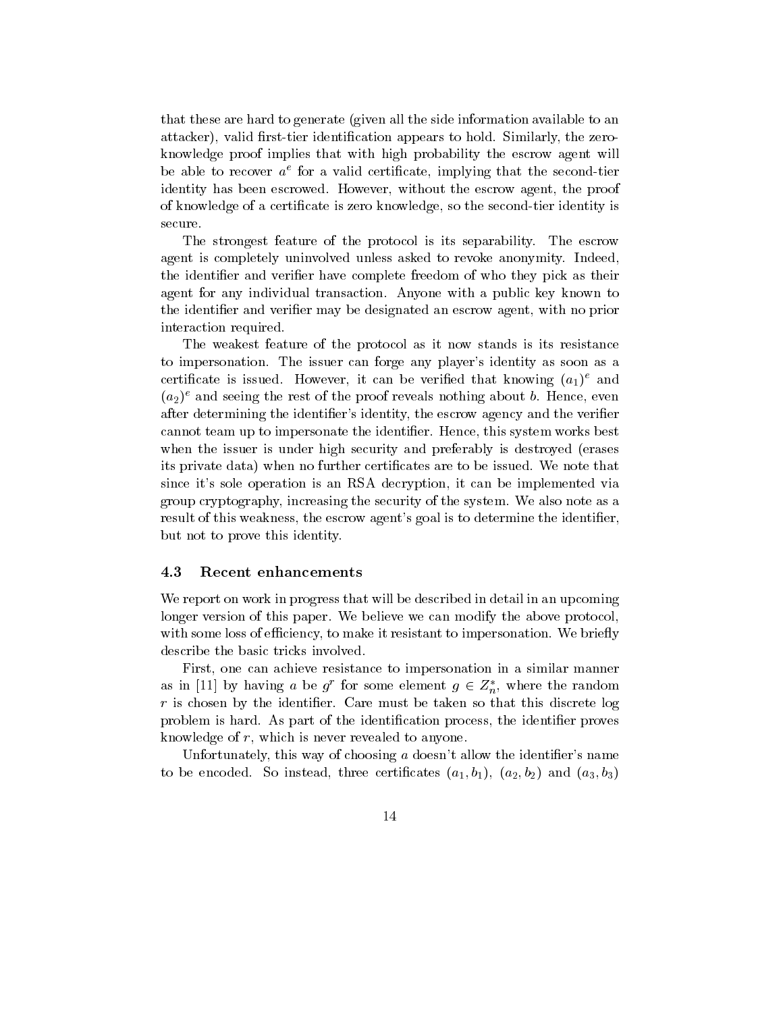that these are hard to generate given all the side information available to an attacker), valid first-tier identification appears to hold. Similarly, the zeroknowledge proof implies that with high probability the escrow agent will be able to recover  $a^+$  for a valid certificate, implying that the second-tier identity has been escrowed. However, without the escrow agent, the proof of knowledge of a certificate is zero knowledge, so the second-tier identity is secure

The strongest feature of the protocol is its separability The escrow agent is completely uninvolved unless asked to revoke anonymity. Indeed, the identifier and verifier have complete freedom of who they pick as their agent for any individual transaction Anyone with a public key known to the identifier and verifier may be designated an escrow agent, with no prior interaction required

The weakest feature of the protocol as it now stands is its resistance to impersonation The issuer can forge any player-s identity as soon as a certificate is issued. However, it can be verified that knowing  $(a_1)^+$  and  $(a_2)$  and seeing the rest of the proof reveals nothing about  $v$ . Hence, even after determining the identier-s identity the escrow agency and the verier cannot team up to impersonate the identifier. Hence, this system works best when the issuer is under high security and preferably is destroyed (erases its private data) when no further certificates are to be issued. We note that since it-s sole operation is an RSA decryption it can be implemented via group cryptography increasing the security of the system We also note as a result of this weakness the escrow agent-s goal is to determine the identier but not to prove this identity

### 4.3 Recent enhancements

We report on work in progress that will be described in detail in an upcoming longer version of this paper. We believe we can modify the above protocol, with some loss of efficiency, to make it resistant to impersonation. We briefly describe the basic tricks involved

First, one can achieve resistance to impersonation in a similar manner as in [11] by having a be g' for some element  $g \in Z_n^*$ , where the random  $r$  is chosen by the identifier. Care must be taken so that this discrete log problem is hard. As part of the identification process, the identifier proves knowledge of  $r$ , which is never revealed to anyone.

Unfortunately this way of choosing a doesn-t allow the identier-s name to be encoded So instructing the certicates and  $\{v_{1},v_{1},v_{2}\}$  and  $\{v_{2},v_{1},v_{2}\}$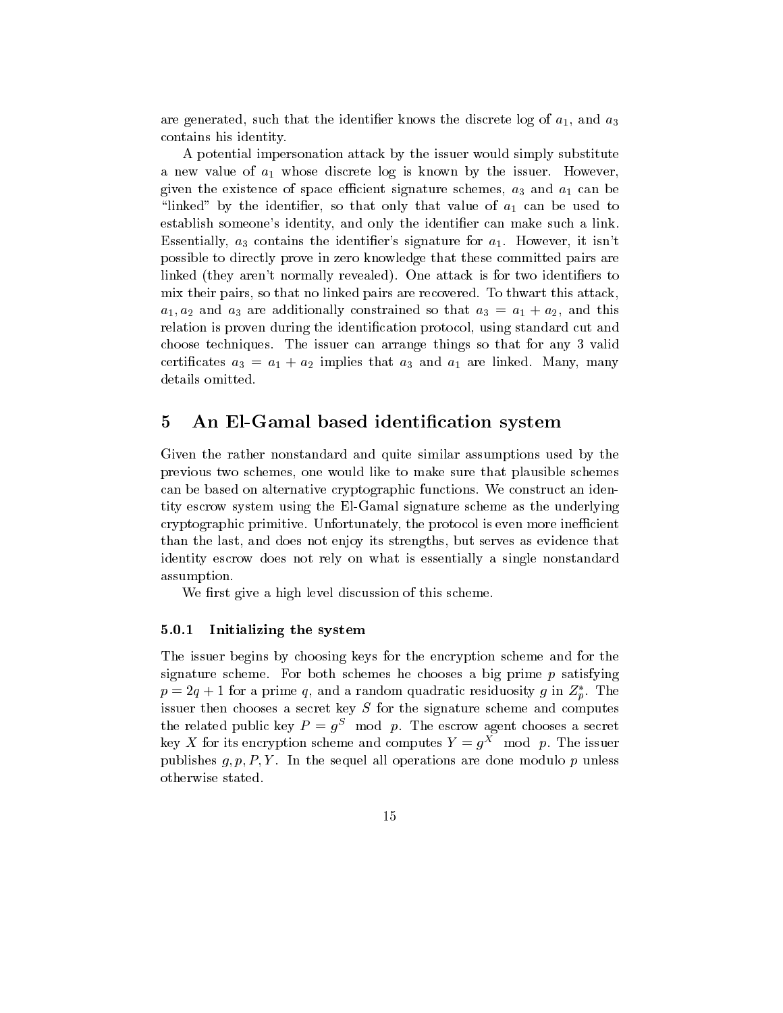are generated, such that the identifier knows the discrete log of  $a_1$ , and  $a_3$ contains his identity

A potential impersonation attack by the issuer would simply substitute a new value of  $a_1$  whose discrete log is known by the issuer. However, given the existence of space efficient signature schemes,  $a_3$  and  $a_1$  can be "linked" by the identifier, so that only that value of  $a_1$  can be used to establish someone-s identity and only the identier can make such a link  $\mathbf{E}$  signature for a However it is iso-signature for a However it is signature for a However it is so  $\mathbf{E}$ possible to directly prove in zero knowledge that these committed pairs are linked they aren-t normally revealed One attack is for two identiers to mix their pairs, so that no linked pairs are recovered. To thwart this attack, and a constraint so that are allowed so that a so that a so that a so that a so  $\alpha$  and the and the and the so relation is proven during the identification protocol, using standard cut and choose techniques. The issuer can arrange things so that for any 3 valid certicates a area and a area and a area and a area and a area are linked many many many many many many many ma details omitted

# 5 An El-Gamal based identification system

Given the rather nonstandard and quite similar assumptions used by the previous two schemes one would like to make sure that plausible schemes can be based on alternative cryptographic functions We construct an iden tity escrow system using the El-Gamal signature scheme as the underlying cryptographic primitive. Unfortunately, the protocol is even more inefficient than the last, and does not enjoy its strengths, but serves as evidence that identity escrow does not rely on what is essentially a single nonstandard assumption

We first give a high level discussion of this scheme.

#### 5.0.1 Initializing the system

The issuer begins by choosing keys for the encryption scheme and for the signature scheme. For both schemes he chooses a big prime  $p$  satisfying  $p = 2q + 1$  for a prime q, and a random quadratic residuosity g in  $Z_p^*$ . The issuer then chooses a secret key  $S$  for the signature scheme and computes the related public key  $P = q^2$  mod p. The escrow agent chooses a secret key X for its encryption scheme and computes  $Y = g^X$  mod p. The issuer publishes  $g, p, P, Y$ . In the sequel all operations are done modulo p unless otherwise stated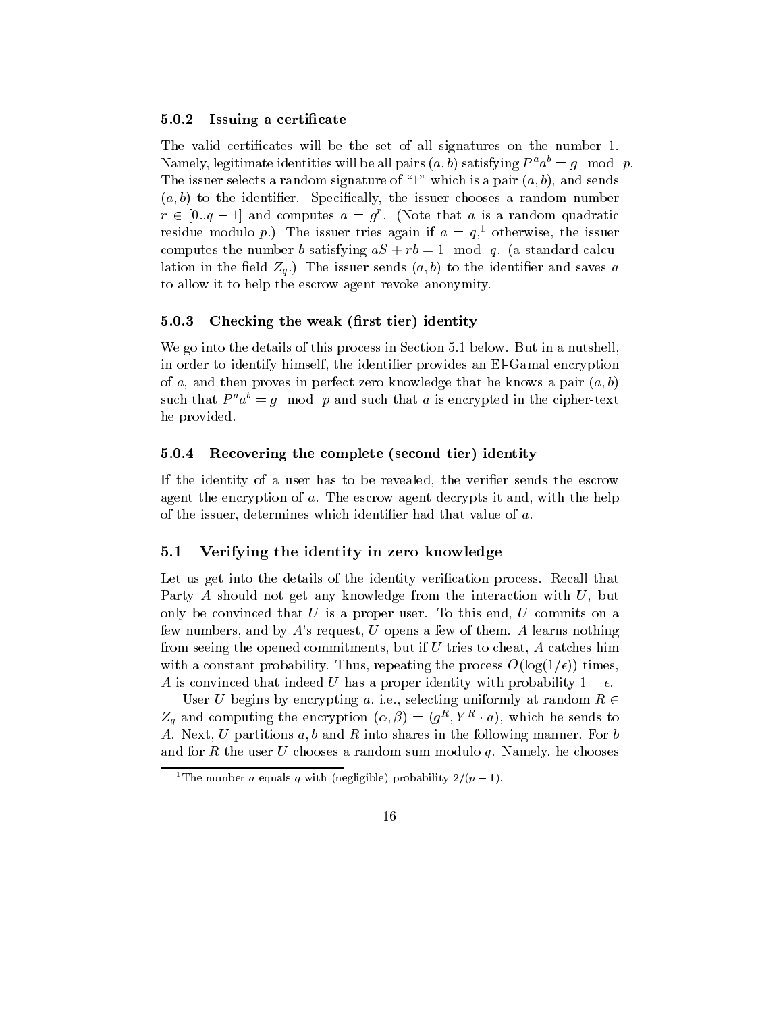#### 5.0.2 Issuing a certificate

The valid certificates will be the set of all signatures on the number 1. Namely, legitimate identities will be all pairs  $(a, b)$  satisfying  $P^a a^b = g \mod p$ . The issuer selects a random signature of "1" which is a pair  $(a, b)$ , and sends  $(a, b)$  to the identifier. Specifically, the issuer chooses a random number  $r \in [0..q-1]$  and computes  $a = q'$ . (Note that a is a random quadratic residue modulo p.) The issuer tries again if  $a = q<sub>1</sub>$  otherwise, the issuer computes the number b satisfying  $aS + rb = 1 \mod q$ . (a standard calculation in the field  $Z_q$ .) The issuer sends  $(a, b)$  to the identifier and saves a to allow it to help the escrow agent revoke anonymity

#### $5.0.3$ checking the weak  $\overline{1}$  time  $\overline{1}$  the weak  $\overline{1}$  the statistics of  $\overline{1}$

We go into the details of this process in Section  $5.1$  below. But in a nutshell, in order to identify himself, the identifier provides an El-Gamal encryption of a, and then proves in perfect zero knowledge that he knows a pair  $(a, b)$ such that  $P^a a^b = g \mod p$  and such that a is encrypted in the cipher-text he provided

#### $5.0.4$ recovering the complete statement ties, the country,

If the identity of a user has to be revealed, the verifier sends the escrow agent the encryption of  $a$ . The escrow agent decrypts it and, with the help of the issuer, determines which identifier had that value of  $a$ .

#### $5.1\,$ Verifying the identity in zero knowledge

Let us get into the details of the identity verification process. Recall that Party  $A$  should not get any knowledge from the interaction with  $U$ , but only be convinced that  $U$  is a proper user. To this end,  $U$  commits on a few numbers and by A-s request U opens a few of them A learns nothing from seeing the opened commitments, but if  $U$  tries to cheat,  $A$  catches him with a constant probability. Thus, repeating the process  $O(\log(1/\epsilon))$  times,  $A$  is convinced that indeed  $U$  has a proper identity with probability  $1 = e$ .

User U begins by encrypting a, i.e., selecting uniformly at random  $R \in$  $\mathcal{Z}_q$  and computing the encryption  $(\alpha, \beta) = (g^{-1}, 1^{-1} \cdot a)$ , which he sends to A. Next, U partitions  $a, b$  and R into shares in the following manner. For  $b$ and for R the user  $U$  chooses a random sum modulo  $q$ . Namely, he chooses

<sup>&</sup>lt;sup>1</sup>The number *a* equals *q* with (negligible) probability  $2/(p-1)$ .

<sup>16</sup>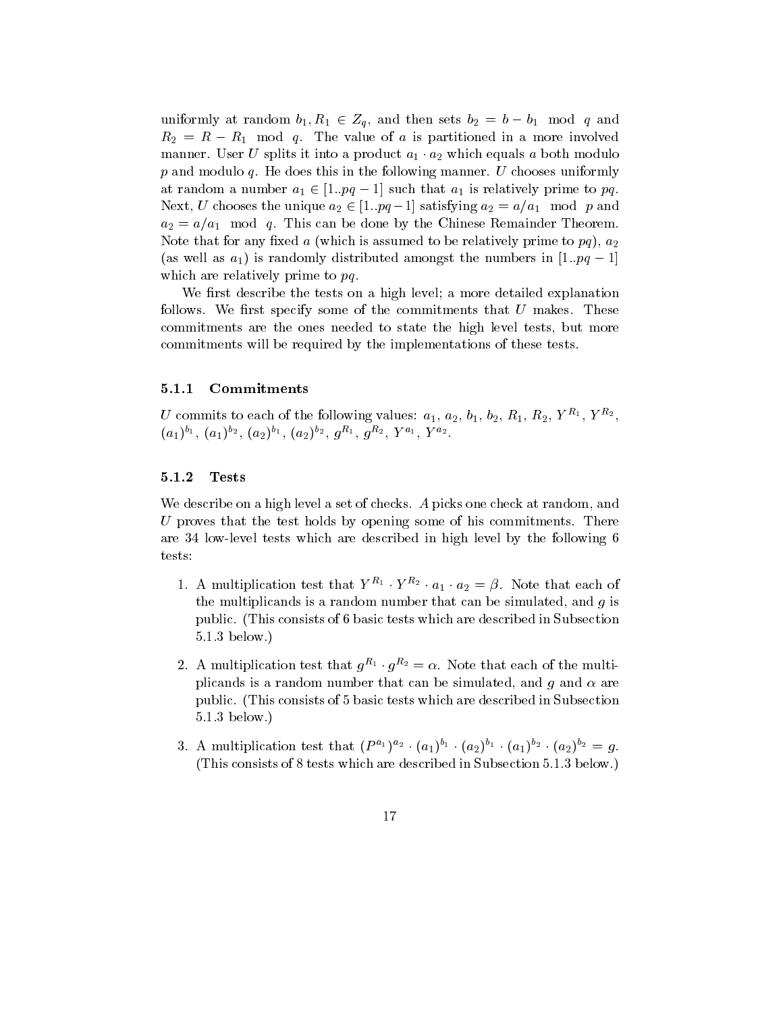uniformly at random  $b_1, R_1 \in Z_q$ , and then sets  $b_2 = b - b_1 \mod q$  and  $n_2 = n - n_1$  and q. The value of a is partitioned in a more involved manner. Oser  $\sigma$  spins it into a product  $a_1 \cdot a_2$  which equals a both modulo  $p$  and modulo  $q$ . He does this in the following manner. U chooses uniformly at random a number  $a_1 \in |1..pq-1|$  su Such that a is relatively prime to particle points of  $\frac{1}{2}$  is relatively prime to pand  $\frac{1}{2}$ . a- aa mod q This can be done by the Chinese Remainder Theorem Note that for any fixed a (which is assumed to be relatively prime to  $pq$ ),  $a_2$ (as well as  $u_{1}$ ) is randomly distributed amoligst the numbers in  $|1..pq=1|$ 

We first describe the tests on a high level; a more detailed explanation follows. We first specify some of the commitments that  $U$  makes. These commitments are the ones needed to state the high level tests, but more commitments will be required by the implementations of these tests

## Commitments

U commits to each of the following values:  $a_1, a_2, b_1, b_2, K_1, K_2, Y^{-1}, Y^{-2}$ ,  $(a_1)$ ,  $(a_1)$ ,  $(a_2)$ ,  $(a_2)$ ,  $(a_3)$ ,  $(a_1, a_2, a_3$ ,  $(a_1, a_2, a_3)$ 

## Tests

We describe on a high level a set of checks. A picks one check at random, and  $U$  proves that the test holds by opening some of his commitments. There are  $34$  low-level tests which are described in high level by the following 6 tests

- 1. A multiplication test that  $Y + Y + a_1 \cdot a_2 = \rho$ . Note that each of the multiplicands is a random number that can be simulated, and  $g$  is public. (This consists of 6 basic tests which are described in Subsection  $5.1.3$  below.)
- 2. A multiplication test that  $q^{-1} \cdot q^{-2} = \alpha$ . Note that each of the multiplicands is a random number that can be simulated, and g and  $\alpha$  are public. (This consists of 5 basic tests which are described in Subsection  $5.1.3$  below.)
- 3. A multiplication test that  $(P^{-1})^2 \cdot (a_1)^2 \cdot (a_2)^2 \cdot (a_1)^2 \cdot (a_2)^2 = g$ . (This consists of  $8$  tests which are described in Subsection  $5.1.3$  below.)
	- 17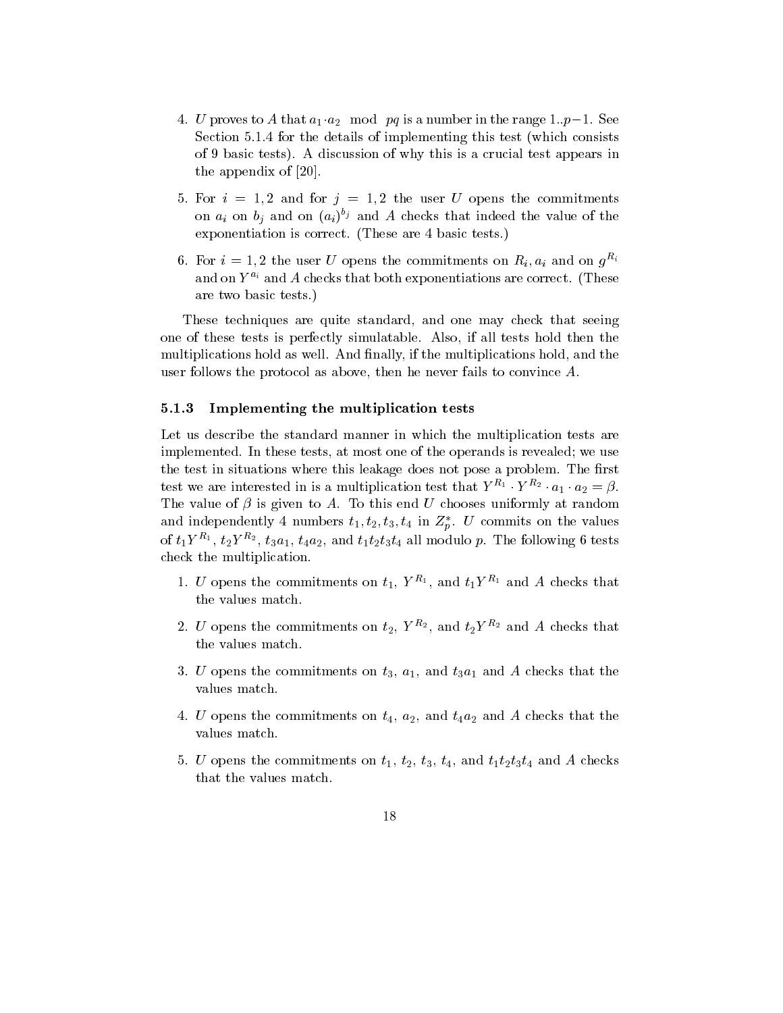- $\pm$ . O proves to A that  $a_1 \cdot a_2$  and  $p\bar{q}$  is a number in the range  $1..p-1$ . See Section  $5.1.4$  for the details of implementing this test (which consists of 9 basic tests). A discussion of why this is a crucial test appears in the appendix of [20].
- 5. For  $i = 1, 2$  and for  $j = 1, 2$  the user U opens the commitments on  $a_i$  on  $b_j$  and on  $(a_i)^{r_j}$  and A checks that indeed the value of the exponentiation is correct. (These are  $4$  basic tests.)
- 6. For  $i = 1, 2$  the user U opens the commitments on  $R_i, a_i$  and on  $g^{R_i}$ and on  $Y^{a_i}$  and A checks that both exponentiations are correct. (These are two basic tests

These techniques are quite standard, and one may check that seeing one of these tests is perfectly simulatable. Also, if all tests hold then the multiplications hold as well. And finally, if the multiplications hold, and the user follows the protocol as above, then he never fails to convince  $A$ .

### Implementing the multiplication tests

Let us describe the standard manner in which the multiplication tests are implemented In these tests at most one of the operands is revealed we use the test in situations where this leakage does not pose a problem. The first test we are interested in is a multiplication test that  $Y \cdot Y \cdot a_1 \cdot a_2 = \rho$ . The value of  $\beta$  is given to A. To this end U chooses uniformly at random and independently 4 numbers  $t_1, t_2, t_3, t_4$  in  $Z_p$ . U commits on the values of  $t_1$   $t_1$   $t_2$   $t_3$   $t_4$   $t_3$   $t_1$ ,  $t_4$   $t_2$ , and  $t_1$   $t_2$   $t_3$   $t_4$  and modulo  $p$ . The following 0 tests check the multiplication

- 1. U opens the commitments on  $t_1$ ,  $T^{-1}$ , and  $t_1T^{-1}$  and A checks that the values match
- 2. U opens the commitments on  $t_2$ ,  $T^{-2}$ , and  $t_2T^{-2}$  and A checks that the values match
- 3. U opens the commitments on  $t_3$ ,  $a_1$ , and  $t_3a_1$  and A checks that the values match
- U opens the commitments on t a- and ta- and <sup>A</sup> checks that the values match
- U opens the commitments of the commitments on the commitments of the commitments of the commitments of the commitments of the commitments of the commitments of the commitments of the commitments of the commitments of the c that the values match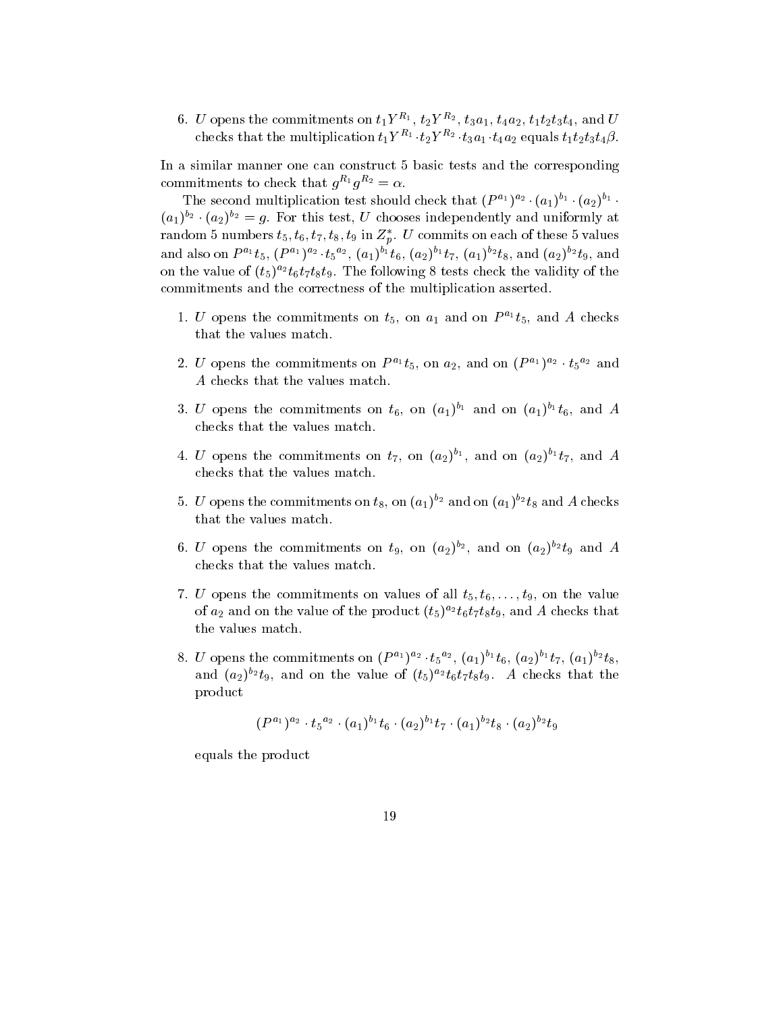0. U opens the commitments on  $t_1$   $t_1$   $\cdots$ ,  $t_2$   $t_1$   $\cdots$ ,  $t_3$  $a_1$ ,  $t_4$  $a_2$ ,  $t_1$  $t_2$  $t_3$  $t_4$ , and U checks that the multiplication  $t_1 Y \rightarrow t_2 Y \rightarrow t_3 a_1 \cdot t_4 a_2$  equals  $t_1 t_2 t_3 t_4 \beta$ .

In a similar manner one can construct 5 basic tests and the corresponding commitments to check that  $g^{R_1}g^{R_2}=\alpha$ .

I he second multiplication test should check that  $(P^{-1})^{-2} \cdot (a_1)^{-1} \cdot (a_2)^{-1} \cdot$  $(a_1)^2 \cdot (a_2)^2 = g$ . For this test, U chooses independently and uniformly at random 5 numbers  $t_5, t_6, t_7, t_8, t_9$  in  $Z_p^*$ . U commits on each of these 5 values and also on  $P^{-1}t_5$ ,  $(P^{-1})^{-2}t_5^{-2}$ ,  $(a_1)^{-1}t_6$ ,  $(a_2)^{-1}t_7$ ,  $(a_1)^{-2}t_8$ , and  $(a_2)^{-2}t_9$ , and on the value of  $(t_5)^{a_2}t_6t_7t_8t_9$ . The following 8 tests check the validity of the commitments and the correctness of the multiplication asserted

- 1. U opens the commitments on  $t_5$ , on  $a_1$  and on  $P^{a_1}t_5$ , and A checks that the values match
- 2. U opens the commitments on  $P^{-1}t_5$ , on  $a_2$ , and on  $(P^{-1})^{-2} \cdot t_5^{-2}$  and A checks that the values match
- 5. U opens the commitments on  $t_6$ , on  $(a_1)^2$  and on  $(a_1)^2 t_6$ , and A checks that the values match
- 4. O opens the commitments on  $i_7$ , on  $(a_2)^{r_1}$ , and on  $(a_2)^{r_1}i_7$ , and A checks that the values match
- $\sigma$ . O opens the commitments on  $\iota_8$ , on  $(a_1)^{12}$  and on  $(a_1)^{12} \iota_8$  and A checks that the values match
- b. U opens the commitments on  $t_9$ , on  $(a_2)^2$ , and on  $(a_2)^2 t_9$  and A checks that the values match
- under the commitments of all the commitments of all the values of  $\{0,1,0,1\}$  , all the values of all the values of of  $a_2$  and on the value of the product  $(t_5)^{-2}t_6t_7t_8t_9$ , and A checks that
- 8. U opens the commitments on  $(F^{-1})^{-1}$  is  $\frac{1}{2}$ ,  $(a_1)^{-1}$  is,  $(a_2)^{-1}$  iz,  $(a_1)^{-1}$  is, and  $(a_2)^2 b_9$ , and on the value of  $(t_5)^2 b_6 t_7 t_8 t_9$ . A checks that the product

$$
(P^{a_1})^{a_2} \cdot {t_5}^{a_2} \cdot {(a_1)}^{b_1} {t_6} \cdot {(a_2)}^{b_1} {t_7} \cdot {(a_1)}^{b_2} {t_8} \cdot {(a_2)}^{b_2} {t_9}
$$

equals the product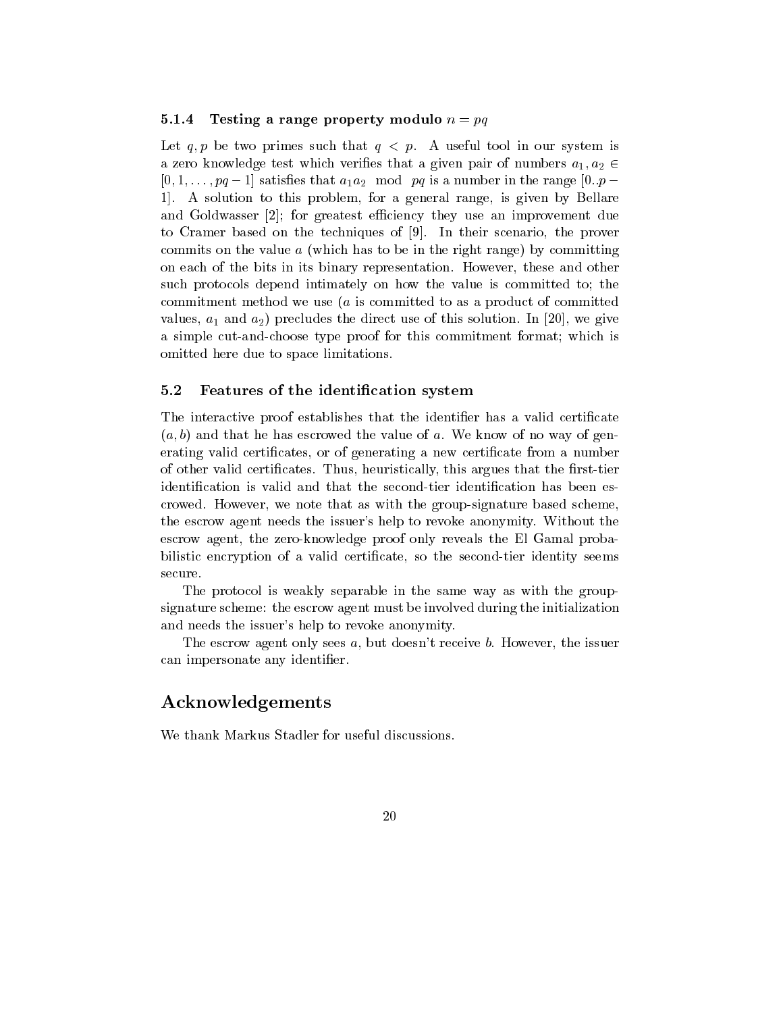### Testing a range property modulo  $n = pq$

Let q p be two primes such that q p A useful tool in our system is a zero knowledge test which verifies that a given pair of numbers  $a_1, a_2 \in$   $[0, 1, \ldots, pq-1]$  satisfies that  $a_1a_2$  and  $q$  is a number in the range  $[0..p-1]$  A solution to this problem for a general range is given by Bellare and Goldwasser en decidency they use an improvement due to the second to Cramer based on the techniques of [9]. In their scenario, the prover commits on the value  $a$  (which has to be in the right range) by committing on each of the bits in its binary representation. However, these and other such protocols depend intimately on how the value is committed to the commitment method we use  $(a$  is committed to as a product of committed  $\mathbf{v}$  and a-matrix a-matrix  $\mathbf{v}$  and  $\mathbf{v}$  are given in  $\mathbf{v}$  . In this solution is the direct use of the direct use of this solution is the direct use of the direct use of the direct use of the direct use of a simple cut mind this commitment is provided this commitment for this commitment for the commitment  $\alpha$ omitted here due to space limitations

#### 5.2 Features of the identification system

The interactive proof establishes that the identifier has a valid certificate  $(a, b)$  and that he has escrowed the value of a. We know of no way of generating valid certificates, or of generating a new certificate from a number of other valid certificates. Thus, heuristically, this argues that the first-tier identification is valid and that the second-tier identification has been escrowed. However, we note that as with the group-signature based scheme, the escrow agent needs the issuer-s help to revoke anonymity Without the escrow agent, the zero-knowledge proof only reveals the El Gamal probabilistic encryption of a valid certificate, so the second-tier identity seems secure

The protocol is weakly separable in the same way as with the group signature scheme: the escrow agent must be involved during the initialization and needs the issuer-term in the issuer-term in the issuer-term in the issuer-term in the issuer-term in the i

 $\mathbf{f}$  receive b However the issuer the issuer the issuer the issuer the issuer the issuer the issuer the issuer th can impersonate any identifier.

# Acknowledgements

We thank Markus Stadler for useful discussions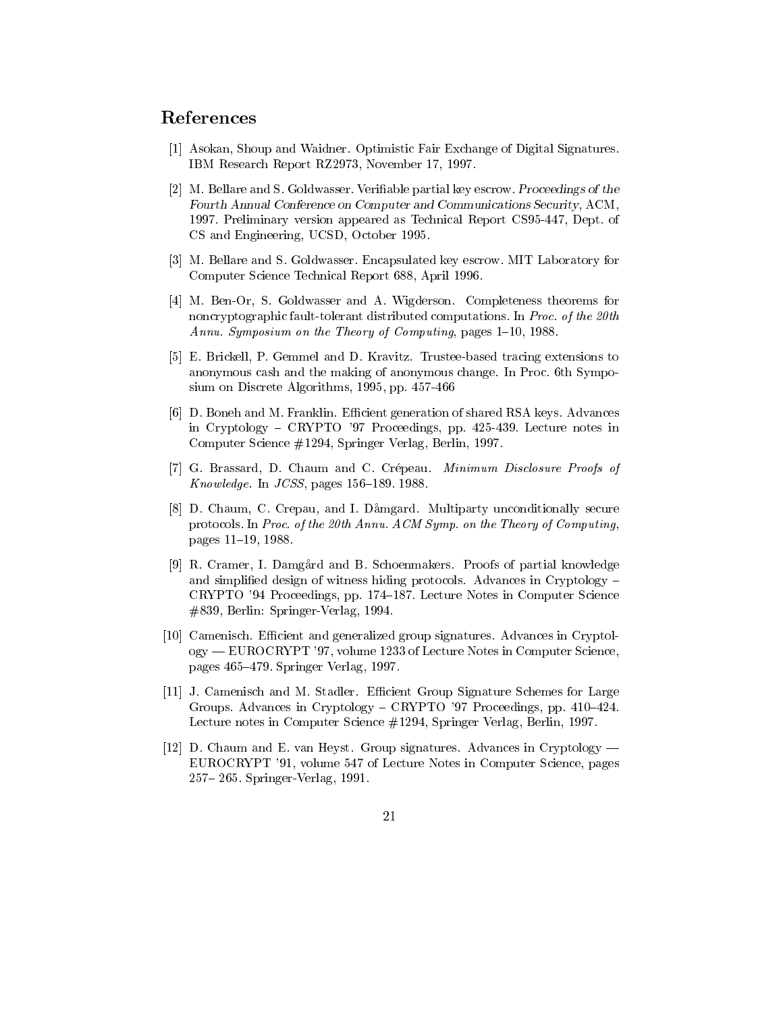# References

- as and Shown Show and Waidners- Optimized of Digital Signatures- Application Signatures-IBM Research Report RZ 
 November  -
- M- Bellare and S- Goldwasser- Veriable partial key escrow- Proceedings of the Fourth Annual Conference on Computer and Communications Security, ACM, - Preliminary version appeared as Technical Report CS Dept- of CS and Engineering, UCSD, October 1995.
- , and and S-matrix for the S-matrix of the S-matrix formulated key escribed and the series of the S-matrix of Computer Science Technical Report 688, April 1996.
- M- BenOr S- Goldwasser and A- Wigderson- Completeness theorems for noncryptographic fault to the experimental computations-between  $\mathbf{I}$ Annu. Symposium on the Theory of Computing, pages  $1-10$ , 1988.
- e-Britannia and D-Britannia to D-Britannia extensions to D-Britannia to D-Britannia to D-Britannia to D-Britannia anonymous cash and the making of anonymous change- In Proc- th Sympo sium on Discrete Algorithms pp- and Discrete Algorithms pp- and Discrete Algorithms pp- and Discrete Algorithms pp- and Discrete Algorithms pp- and Discrete Algorithms pp- and Discrete Algorithms pp- and Discrete Al
- D- Boneh and M- Franklin- Ecient generation of shared RSA keys- Advances in Cryptology CRYPTO  Proceedings pp- - Lecture notes in computer cannot grow you prompt the computer of the set of the set of the set of the set of the set of the set
- G- Brassard D- Chaum and C- Crepeau- Minimum Disclosure Proofs of know ledge-state - In July 1988, the state of the state of the state of the state of the state of the state of
- D- Chaum C- Crepau and I- Damgard- Multiparty unconditionally secure protocols-be-color in the state results and the political color color of the Symphony of Computing the Theory o pages  $11-19$ , 1988.
- R- Cramer I- Damgard and B- Schoenmakers- Proofs of partial knowledge and simplied design of witness hiding protocols- Advances in Cryptology  $\mathcal{L}$  and  $\mathcal{L}$  . The computer Science Science Science Science Science Science Science Science Science Science Science Science Science Science Science Science Science Science Science Science Science Science Science  $\#839$ , Berlin: Springer-Verlag, 1994.
- Camenisch- Ecient and generalized group signatures- Advances in Cryptol ogy – Europe Cave President Science of Europe Science Science Science Science (1999) pages are also because the compared of the set of the set of the set of the set of the set of the set of the s
- J- Camenisch and M- Stadler- Ecient Group Signature Schemes for Large Groups- Advances in Cryptology CRYPTO  Proceedings pp- -Lecture notes in Computer Science Springer Verlag Berlin -
- , and E-Chaum and E-Chaum and E-Chaum and E-Chaum and Heyster in Cryptology (Cryptology) EUROCRYPT '91, volume 547 of Lecture Notes in Computer Science, pages  $\mathbf{S}$  -springer vertex  $\mathbf{S}$  -springer vertex  $\mathbf{S}$  -springer vertex  $\mathbf{S}$ 
	- 21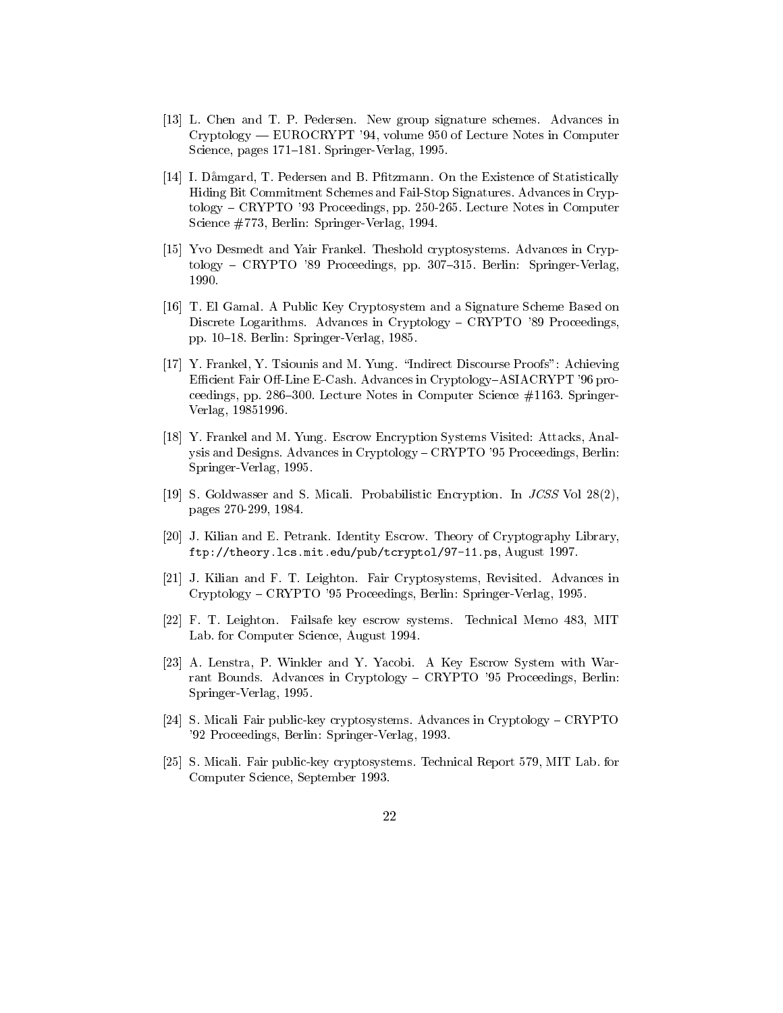- L- Chen and T- P- Pedersen- New group signature schemes- Advances in  $Cryptography - EUROCRYPT'94$ , volume 950 of Lecture Notes in Computer se springerverlag - Springerverlag - Springerverlag - Springerverlag - Springerverlag - Springerverlag - Springer
- I-LI Padersen and B-Li Philadelphia Philadelphia Philadelphia Philadelphia Philadelphia Philadelphia - $\mathcal{L}$  and  $\mathcal{L}$  and  $\mathcal{L}$  such Signatures-Schemes and FailStop Signatures-Signatures-Signatures-Signatures-Signatures-Signatures-Signatures-Signatures-Signatures-Signatures-Signatures-Signatures-Signatures-Signat tology CRYPTO 
 Proceedings pp- - Lecture Notes in Computer Science #773, Berlin: Springer-Verlag, 1994.
- Yvo Desmedt and Yair Frankel- Theshold cryptosystems- Advances in Cryp tology CRYPTO Proceedings pp- 
- Berlin SpringerVerlag 1990.
- T- El Gamal- A Public Key Cryptosystem and a Signature Scheme Based on Discrete Logarithms- Advances in Cryptology CRYPTO Proceedings pp-berlin SpringerVerlag - SpringerVerlag - SpringerVerlag - SpringerVerlag - SpringerVerlag - SpringerVerlag
- $\mathbf{A}$  . The matrix and M-course  $\mathbf{A}$ Ecient Fair OLine ECash- Advances in CryptologyASIACRYPT pro ceedings produced by the central central produced by the computer Science of the computer Science of the computer Science of the computer Science of the computer Science of the computer Science of the computer Science of t Verlag, 19851996.
- Y- Frankel and M- Yung- Escrow Encryption Systems Visited Attacks Anal  $\alpha$  and  $\alpha$  are proceeding berlines bereadings berlines berlines berlines berlines berlines berlines berlines berlines berlines berlines berlines berlines berlines berlines berlines berlines berlines berlines berlines b Springer-Verlag, 1995.
- S- Goldwasser and S- Micali- Probabilistic Encryption- In JCSS Vol pages  -
- is the common and E-R and E-R and E-R and E-R and E-R and E-R and I-R and I-R and I-R and I-R and I-R and I-R ftptheory-lcs-mit-edupubtcryptol-ps August -
- i-leighton-and filian and F-and F-air Cryptosystems Revisited-Cryptosystems Revisited-Cryptosystems Revisited- $Cryptology - CRYPTO$  '95 Proceedings, Berlin: Springer-Verlag, 1995.
- F- T- Leighton- Failsafe key escrow systems- Technical Memo MIT Lab- for Computer Science August -
- a-, a- Andrey A. ((Andrew System A. Andrew Secrow) Andrew Winkler with Winkler Winkler rant Bounds- Advances in Cryptology CRYPTO Proceedings Berlin Springer-Verlag, 1995.
- s- Microsoft and public try regions in Cryptology and Cryptology and Cryptology and Cryptology and Cryptology Proceedings Berlin SpringerVerlag Proceedings Berlin SpringerVerlag Proceedings B
- S- Micali- Fair publickey cryptosystems- Technical Report  MIT Lab- for Computer Science, September 1993.
	- 22